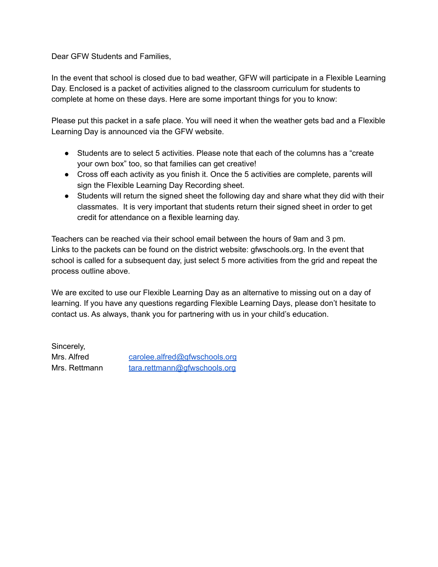Dear GFW Students and Families,

In the event that school is closed due to bad weather, GFW will participate in a Flexible Learning Day. Enclosed is a packet of activities aligned to the classroom curriculum for students to complete at home on these days. Here are some important things for you to know:

Please put this packet in a safe place. You will need it when the weather gets bad and a Flexible Learning Day is announced via the GFW website.

- Students are to select 5 activities. Please note that each of the columns has a "create" your own box" too, so that families can get creative!
- Cross off each activity as you finish it. Once the 5 activities are complete, parents will sign the Flexible Learning Day Recording sheet.
- Students will return the signed sheet the following day and share what they did with their classmates. It is very important that students return their signed sheet in order to get credit for attendance on a flexible learning day.

Teachers can be reached via their school email between the hours of 9am and 3 pm. Links to the packets can be found on the district website: gfwschools.org. In the event that school is called for a subsequent day, just select 5 more activities from the grid and repeat the process outline above.

We are excited to use our Flexible Learning Day as an alternative to missing out on a day of learning. If you have any questions regarding Flexible Learning Days, please don't hesitate to contact us. As always, thank you for partnering with us in your child's education.

Sincerely,

Mrs. Alfred [carolee.alfred@gfwschools.org](mailto:carolee.alfred@gfwschools.org) Mrs. Rettmann [tara.rettmann@gfwschools.org](mailto:tara.rettmann@gfwschools.org)